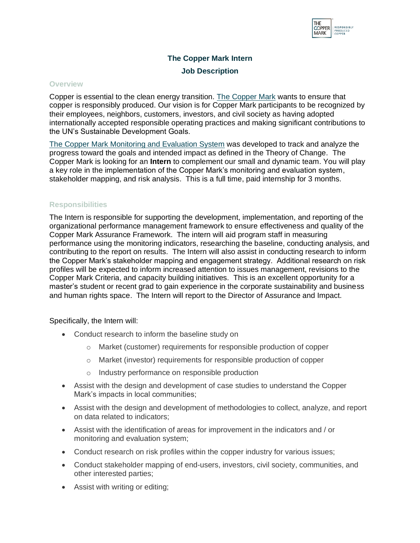

# **The Copper Mark Intern Job Description**

#### **Overview**

Copper is essential to the clean energy transition. [The Copper Mark](https://coppermark.org/) wants to ensure that copper is responsibly produced. Our vision is for Copper Mark participants to be recognized by their employees, neighbors, customers, investors, and civil society as having adopted internationally accepted responsible operating practices and making significant contributions to the UN's Sustainable Development Goals.

[The Copper Mark Monitoring and Evaluation System](https://coppermark.org/wp-content/uploads/2021/05/CopperMarkMandESystem_19MAR2021_FINAL.pdf) was developed to track and analyze the progress toward the goals and intended impact as defined in the Theory of Change. The Copper Mark is looking for an **Intern** to complement our small and dynamic team. You will play a key role in the implementation of the Copper Mark's monitoring and evaluation system, stakeholder mapping, and risk analysis. This is a full time, paid internship for 3 months.

### **Responsibilities**

The Intern is responsible for supporting the development, implementation, and reporting of the organizational performance management framework to ensure effectiveness and quality of the Copper Mark Assurance Framework. The intern will aid program staff in measuring performance using the monitoring indicators, researching the baseline, conducting analysis, and contributing to the report on results. The Intern will also assist in conducting research to inform the Copper Mark's stakeholder mapping and engagement strategy. Additional research on risk profiles will be expected to inform increased attention to issues management, revisions to the Copper Mark Criteria, and capacity building initiatives. This is an excellent opportunity for a master's student or recent grad to gain experience in the corporate sustainability and business and human rights space. The Intern will report to the Director of Assurance and Impact.

### Specifically, the Intern will:

- Conduct research to inform the baseline study on
	- o Market (customer) requirements for responsible production of copper
	- o Market (investor) requirements for responsible production of copper
	- o Industry performance on responsible production
- Assist with the design and development of case studies to understand the Copper Mark's impacts in local communities;
- Assist with the design and development of methodologies to collect, analyze, and report on data related to indicators;
- Assist with the identification of areas for improvement in the indicators and / or monitoring and evaluation system;
- Conduct research on risk profiles within the copper industry for various issues;
- Conduct stakeholder mapping of end-users, investors, civil society, communities, and other interested parties;
- Assist with writing or editing;